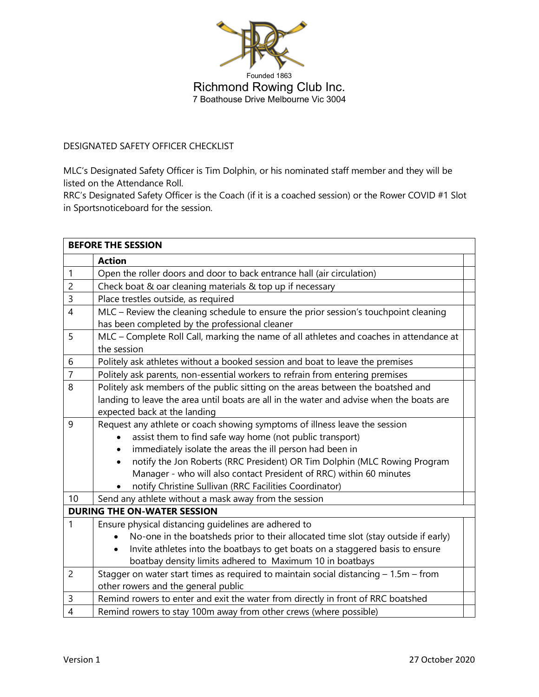

DESIGNATED SAFETY OFFICER CHECKLIST

MLC's Designated Safety Officer is Tim Dolphin, or his nominated staff member and they will be listed on the Attendance Roll.

RRC's Designated Safety Officer is the Coach (if it is a coached session) or the Rower COVID #1 Slot in Sportsnoticeboard for the session.

| <b>BEFORE THE SESSION</b>          |                                                                                                 |  |  |
|------------------------------------|-------------------------------------------------------------------------------------------------|--|--|
|                                    | <b>Action</b>                                                                                   |  |  |
| $\mathbf{1}$                       | Open the roller doors and door to back entrance hall (air circulation)                          |  |  |
| $\overline{c}$                     | Check boat & oar cleaning materials & top up if necessary                                       |  |  |
| $\overline{3}$                     | Place trestles outside, as required                                                             |  |  |
| $\overline{4}$                     | MLC - Review the cleaning schedule to ensure the prior session's touchpoint cleaning            |  |  |
|                                    | has been completed by the professional cleaner                                                  |  |  |
| 5                                  | MLC - Complete Roll Call, marking the name of all athletes and coaches in attendance at         |  |  |
|                                    | the session                                                                                     |  |  |
| 6                                  | Politely ask athletes without a booked session and boat to leave the premises                   |  |  |
| $\overline{7}$                     | Politely ask parents, non-essential workers to refrain from entering premises                   |  |  |
| 8                                  | Politely ask members of the public sitting on the areas between the boatshed and                |  |  |
|                                    | landing to leave the area until boats are all in the water and advise when the boats are        |  |  |
|                                    | expected back at the landing                                                                    |  |  |
| 9                                  | Request any athlete or coach showing symptoms of illness leave the session                      |  |  |
|                                    | assist them to find safe way home (not public transport)                                        |  |  |
|                                    | immediately isolate the areas the ill person had been in<br>$\bullet$                           |  |  |
|                                    | notify the Jon Roberts (RRC President) OR Tim Dolphin (MLC Rowing Program<br>$\bullet$          |  |  |
|                                    | Manager - who will also contact President of RRC) within 60 minutes                             |  |  |
|                                    | notify Christine Sullivan (RRC Facilities Coordinator)                                          |  |  |
| 10                                 | Send any athlete without a mask away from the session                                           |  |  |
| <b>DURING THE ON-WATER SESSION</b> |                                                                                                 |  |  |
| 1                                  | Ensure physical distancing guidelines are adhered to                                            |  |  |
|                                    | No-one in the boatsheds prior to their allocated time slot (stay outside if early)<br>$\bullet$ |  |  |
|                                    | Invite athletes into the boatbays to get boats on a staggered basis to ensure<br>$\bullet$      |  |  |
|                                    | boatbay density limits adhered to Maximum 10 in boatbays                                        |  |  |
| $\overline{c}$                     | Stagger on water start times as required to maintain social distancing - 1.5m - from            |  |  |
|                                    | other rowers and the general public                                                             |  |  |
| 3                                  | Remind rowers to enter and exit the water from directly in front of RRC boatshed                |  |  |
| $\overline{4}$                     | Remind rowers to stay 100m away from other crews (where possible)                               |  |  |